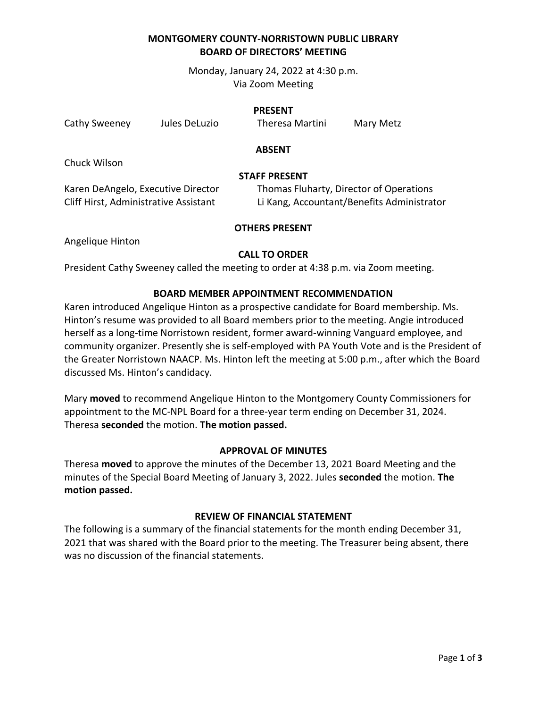# **MONTGOMERY COUNTY-NORRISTOWN PUBLIC LIBRARY BOARD OF DIRECTORS' MEETING**

Monday, January 24, 2022 at 4:30 p.m. Via Zoom Meeting

#### **PRESENT**

Cathy Sweeney Jules DeLuzio Theresa Martini Mary Metz

### **ABSENT**

Chuck Wilson

### **STAFF PRESENT**

Karen DeAngelo, Executive Director Thomas Fluharty, Director of Operations Cliff Hirst, Administrative Assistant Li Kang, Accountant/Benefits Administrator

# **OTHERS PRESENT**

Angelique Hinton

# **CALL TO ORDER**

President Cathy Sweeney called the meeting to order at 4:38 p.m. via Zoom meeting.

### **BOARD MEMBER APPOINTMENT RECOMMENDATION**

Karen introduced Angelique Hinton as a prospective candidate for Board membership. Ms. Hinton's resume was provided to all Board members prior to the meeting. Angie introduced herself as a long-time Norristown resident, former award-winning Vanguard employee, and community organizer. Presently she is self-employed with PA Youth Vote and is the President of the Greater Norristown NAACP. Ms. Hinton left the meeting at 5:00 p.m., after which the Board discussed Ms. Hinton's candidacy.

Mary **moved** to recommend Angelique Hinton to the Montgomery County Commissioners for appointment to the MC-NPL Board for a three-year term ending on December 31, 2024. Theresa **seconded** the motion. **The motion passed.** 

#### **APPROVAL OF MINUTES**

Theresa **moved** to approve the minutes of the December 13, 2021 Board Meeting and the minutes of the Special Board Meeting of January 3, 2022. Jules **seconded** the motion. **The motion passed.**

## **REVIEW OF FINANCIAL STATEMENT**

The following is a summary of the financial statements for the month ending December 31, 2021 that was shared with the Board prior to the meeting. The Treasurer being absent, there was no discussion of the financial statements.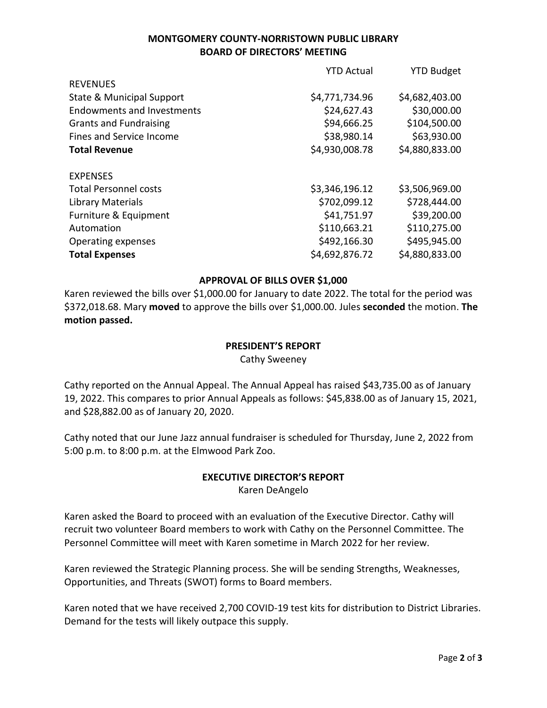# **MONTGOMERY COUNTY-NORRISTOWN PUBLIC LIBRARY BOARD OF DIRECTORS' MEETING**

|                                      | <b>YTD Actual</b> | <b>YTD Budget</b> |
|--------------------------------------|-------------------|-------------------|
| <b>REVENUES</b>                      |                   |                   |
| <b>State &amp; Municipal Support</b> | \$4,771,734.96    | \$4,682,403.00    |
| <b>Endowments and Investments</b>    | \$24,627.43       | \$30,000.00       |
| <b>Grants and Fundraising</b>        | \$94,666.25       | \$104,500.00      |
| Fines and Service Income             | \$38,980.14       | \$63,930.00       |
| <b>Total Revenue</b>                 | \$4,930,008.78    | \$4,880,833.00    |
| <b>EXPENSES</b>                      |                   |                   |
| <b>Total Personnel costs</b>         | \$3,346,196.12    | \$3,506,969.00    |
| Library Materials                    | \$702,099.12      | \$728,444.00      |
| Furniture & Equipment                | \$41,751.97       | \$39,200.00       |
| Automation                           | \$110,663.21      | \$110,275.00      |
| Operating expenses                   | \$492,166.30      | \$495,945.00      |
| <b>Total Expenses</b>                | \$4,692,876.72    | \$4,880,833.00    |
|                                      |                   |                   |

### **APPROVAL OF BILLS OVER \$1,000**

Karen reviewed the bills over \$1,000.00 for January to date 2022. The total for the period was \$372,018.68. Mary **moved** to approve the bills over \$1,000.00. Jules **seconded** the motion. **The motion passed.**

#### **PRESIDENT'S REPORT**

Cathy Sweeney

Cathy reported on the Annual Appeal. The Annual Appeal has raised \$43,735.00 as of January 19, 2022. This compares to prior Annual Appeals as follows: \$45,838.00 as of January 15, 2021, and \$28,882.00 as of January 20, 2020.

Cathy noted that our June Jazz annual fundraiser is scheduled for Thursday, June 2, 2022 from 5:00 p.m. to 8:00 p.m. at the Elmwood Park Zoo.

### **EXECUTIVE DIRECTOR'S REPORT** Karen DeAngelo

Karen asked the Board to proceed with an evaluation of the Executive Director. Cathy will recruit two volunteer Board members to work with Cathy on the Personnel Committee. The Personnel Committee will meet with Karen sometime in March 2022 for her review.

Karen reviewed the Strategic Planning process. She will be sending Strengths, Weaknesses, Opportunities, and Threats (SWOT) forms to Board members.

Karen noted that we have received 2,700 COVID-19 test kits for distribution to District Libraries. Demand for the tests will likely outpace this supply.